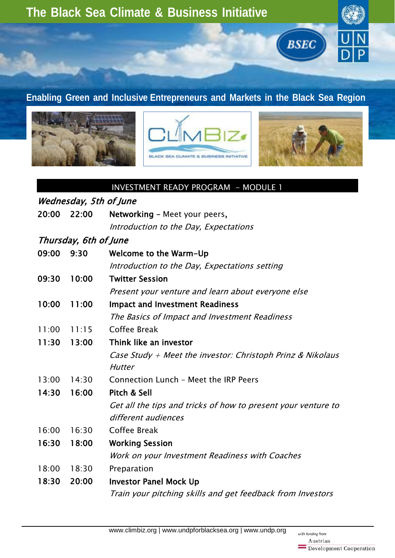

# **Enabling Green and Inclusive Entrepreneurs and Markets in the Black Sea Region**







#### INVESTMENT READY PROGRAM - MODULE 1

# Wednesday, 5th of June

| 20:00 22:00           | Networking - Meet your peers,         |
|-----------------------|---------------------------------------|
|                       | Introduction to the Day, Expectations |
| Thursday, 6th of June |                                       |
|                       |                                       |

#### Thursday, 6th of June

| 09:00 | 9:30  | Welcome to the Warm-Up                                        |
|-------|-------|---------------------------------------------------------------|
|       |       | Introduction to the Day, Expectations setting                 |
| 09:30 | 10:00 | <b>Twitter Session</b>                                        |
|       |       | Present your venture and learn about everyone else            |
| 10:00 | 11:00 | <b>Impact and Investment Readiness</b>                        |
|       |       | The Basics of Impact and Investment Readiness                 |
| 11:00 | 11:15 | Coffee Break                                                  |
| 11:30 | 13:00 | Think like an investor                                        |
|       |       | Case Study $+$ Meet the investor: Christoph Prinz & Nikolaus  |
|       |       | <b>Hutter</b>                                                 |
| 13:00 | 14:30 | Connection Lunch - Meet the IRP Peers                         |
| 14:30 | 16:00 | Pitch & Sell                                                  |
|       |       | Get all the tips and tricks of how to present your venture to |
|       |       | different audiences                                           |
| 16:00 | 16:30 | Coffee Break                                                  |
| 16:30 | 18:00 | <b>Working Session</b>                                        |
|       |       | Work on your Investment Readiness with Coaches                |
| 18:00 | 18:30 | Preparation                                                   |
| 18:30 | 20:00 | <b>Investor Panel Mock Up</b>                                 |
|       |       | Train your pitching skills and get feedback from Investors    |
|       |       |                                                               |